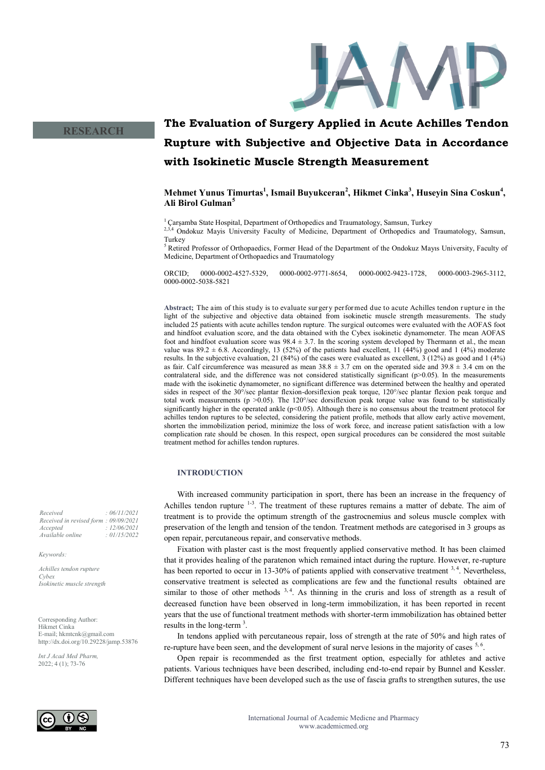

## **RESEARCH**

# **The Evaluation of Surgery Applied in Acute Achilles Tendon Rupture with Subjective and Objective Data in Accordance with Isokinetic Muscle Strength Measurement**

**Mehmet Yunus Timurtas<sup>1</sup> , Ismail Buyukceran<sup>2</sup> , Hikmet Cinka<sup>3</sup> , Huseyin Sina Coskun<sup>4</sup> , Ali Birol Gulman<sup>5</sup>**

<sup>1</sup> Çarşamba State Hospital, Department of Orthopedics and Traumatology, Samsun, Turkey 2,3,4 Ondokuz Mayis University Faculty of Medicine, Department of Orthopedics and Traumatology, Samsun,

<sup>5</sup> Retired Professor of Orthopaedics, Former Head of the Department of the Ondokuz Mayıs University, Faculty of Medicine, Department of Orthopaedics and Traumatology

ORCID; 0000-0002-4527-5329, 0000-0002-9771-8654, 0000-0002-9423-1728, 0000-0003-2965-3112, 0000-0002-5038-5821

**Abstract;** The aim of this study is to evaluate surgery performed due to acute Achilles tendon r upture in the light of the subjective and objective data obtained from isokinetic muscle strength measurements. The study included 25 patients with acute achilles tendon rupture. The surgical outcomes were evaluated with the AOFAS foot and hindfoot evaluation score, and the data obtained with the Cybex isokinetic dynamometer. The mean AOFAS foot and hindfoot evaluation score was  $98.4 \pm 3.7$ . In the scoring system developed by Thermann et al., the mean value was  $89.2 \pm 6.8$ . Accordingly, 13 (52%) of the patients had excellent, 11 (44%) good and 1 (4%) moderate results. In the subjective evaluation, 21 (84%) of the cases were evaluated as excellent, 3 (12%) as good and 1 (4%) as fair. Calf circumference was measured as mean  $38.8 \pm 3.7$  cm on the operated side and  $39.8 \pm 3.4$  cm on the contralateral side, and the difference was not considered statistically significant (p>0.05). In the measurements made with the isokinetic dynamometer, no significant difference was determined between the healthy and operated sides in respect of the 30°/sec plantar flexion-dorsiflexion peak torque, 120°/sec plantar flexion peak torque and total work measurements ( $p > 0.05$ ). The 120°/sec dorsiflexion peak torque value was found to be statistically significantly higher in the operated ankle (p<0.05). Although there is no consensus about the treatment protocol for achilles tendon ruptures to be selected, considering the patient profile, methods that allow early active movement, shorten the immobilization period, minimize the loss of work force, and increase patient satisfaction with a low complication rate should be chosen. In this respect, open surgical procedures can be considered the most suitable treatment method for achilles tendon ruptures.

#### **INTRODUCTION**

With increased community participation in sport, there has been an increase in the frequency of Achilles tendon rupture  $1-3$ . The treatment of these ruptures remains a matter of debate. The aim of treatment is to provide the optimum strength of the gastrocnemius and soleus muscle complex with preservation of the length and tension of the tendon. Treatment methods are categorised in 3 groups as open repair, percutaneous repair, and conservative methods.

Fixation with plaster cast is the most frequently applied conservative method. It has been claimed that it provides healing of the paratenon which remained intact during the rupture. However, re-rupture has been reported to occur in 13-30% of patients applied with conservative treatment <sup>3,4</sup>. Nevertheless, conservative treatment is selected as complications are few and the functional results obtained are similar to those of other methods  $3, 4$ . As thinning in the cruris and loss of strength as a result of decreased function have been observed in long-term immobilization, it has been reported in recent years that the use of functional treatment methods with shorter-term immobilization has obtained better results in the long-term<sup>3</sup>.

In tendons applied with percutaneous repair, loss of strength at the rate of 50% and high rates of re-rupture have been seen, and the development of sural nerve lesions in the majority of cases  $5, 6$ .

Open repair is recommended as the first treatment option, especially for athletes and active patients. Various techniques have been described, including end-to-end repair by Bunnel and Kessler. Different techniques have been developed such as the use of fascia grafts to strengthen sutures, the use

*Received : 06/11/2021 Received in revised form : 09/09/2021 Accepted : 12/06/2021 Available online : 01/15/2022*

*Keywords:*

*Achilles tendon rupture Cybex Isokinetic muscle strength*

Corresponding Author: Hikmet Cinka E-mail; hkmtcnk@gmail.com http://dx.doi.org/10.29228/jamp.53876

*Int J Acad Med Pharm,* 2022; 4 (1); 73-76



Turkey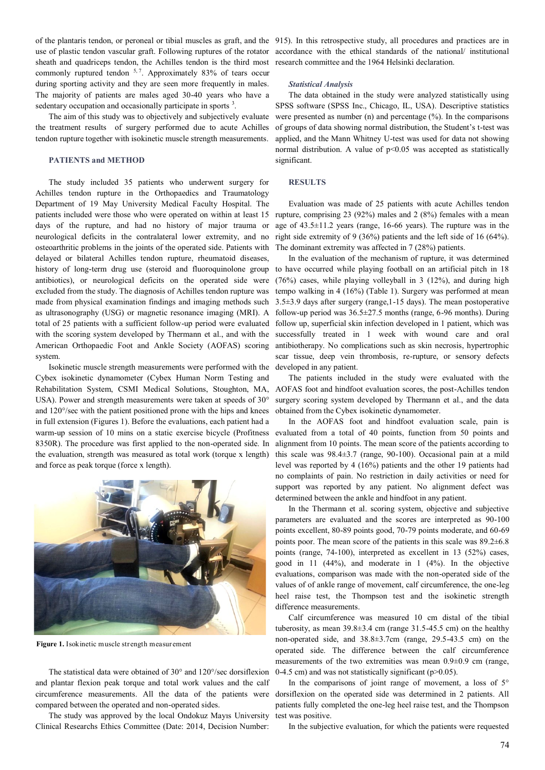sheath and quadriceps tendon, the Achilles tendon is the third most commonly ruptured tendon  $5.7$ . Approximately 83% of tears occur during sporting activity and they are seen more frequently in males. The majority of patients are males aged 30-40 years who have a sedentary occupation and occasionally participate in sports<sup>3</sup>.

The aim of this study was to objectively and subjectively evaluate the treatment results of surgery performed due to acute Achilles tendon rupture together with isokinetic muscle strength measurements.

#### **PATIENTS and METHOD**

The study included 35 patients who underwent surgery for Achilles tendon rupture in the Orthopaedics and Traumatology Department of 19 May University Medical Faculty Hospital. The patients included were those who were operated on within at least 15 days of the rupture, and had no history of major trauma or neurological deficits in the contralateral lower extremity, and no osteoarthritic problems in the joints of the operated side. Patients with delayed or bilateral Achilles tendon rupture, rheumatoid diseases, history of long-term drug use (steroid and fluoroquinolone group antibiotics), or neurological deficits on the operated side were excluded from the study. The diagnosis of Achilles tendon rupture was made from physical examination findings and imaging methods such as ultrasonography (USG) or magnetic resonance imaging (MRI). A total of 25 patients with a sufficient follow-up period were evaluated with the scoring system developed by Thermann et al., and with the American Orthopaedic Foot and Ankle Society (AOFAS) scoring system.

Isokinetic muscle strength measurements were performed with the Cybex isokinetic dynamometer (Cybex Human Norm Testing and Rehabilitation System, CSMI Medical Solutions, Stoughton, MA, USA). Power and strength measurements were taken at speeds of 30° and 120°/sec with the patient positioned prone with the hips and knees in full extension (Figures 1). Before the evaluations, each patient had a warm-up session of 10 mins on a static exercise bicycle (Profitness 8350R). The procedure was first applied to the non-operated side. In the evaluation, strength was measured as total work (torque x length) and force as peak torque (force x length).



**Figure 1.** Isokinetic muscle strength measurement

The statistical data were obtained of 30° and 120°/sec dorsiflexion and plantar flexion peak torque and total work values and the calf compared between the operated and non-operated sides.

The study was approved by the local Ondokuz Mayıs University Clinical Researchs Ethics Committee (Date: 2014, Decision Number:

of the plantaris tendon, or peroneal or tibial muscles as graft, and the 915). In this retrospective study, all procedures and practices are in use of plastic tendon vascular graft. Following ruptures of the rotator accordance with the ethical standards of the national/ institutional research committee and the 1964 Helsinki declaration.

## *Statistical Analysis*

The data obtained in the study were analyzed statistically using SPSS software (SPSS Inc., Chicago, IL, USA). Descriptive statistics were presented as number (n) and percentage  $(\% )$ . In the comparisons of groups of data showing normal distribution, the Student's t-test was applied, and the Mann Whitney U-test was used for data not showing normal distribution. A value of  $p<0.05$  was accepted as statistically significant.

## **RESULTS**

Evaluation was made of 25 patients with acute Achilles tendon rupture, comprising 23 (92%) males and 2 (8%) females with a mean age of 43.5±11.2 years (range, 16-66 years). The rupture was in the right side extremity of 9 (36%) patients and the left side of 16 (64%). The dominant extremity was affected in 7 (28%) patients.

In the evaluation of the mechanism of rupture, it was determined to have occurred while playing football on an artificial pitch in 18 (76%) cases, while playing volleyball in 3 (12%), and during high tempo walking in 4 (16%) (Table 1). Surgery was performed at mean 3.5±3.9 days after surgery (range,1-15 days). The mean postoperative follow-up period was  $36.5 \pm 27.5$  months (range, 6-96 months). During follow up, superficial skin infection developed in 1 patient, which was successfully treated in 1 week with wound care and oral antibiotherapy. No complications such as skin necrosis, hypertrophic scar tissue, deep vein thrombosis, re-rupture, or sensory defects developed in any patient.

The patients included in the study were evaluated with the AOFAS foot and hindfoot evaluation scores, the post-Achilles tendon surgery scoring system developed by Thermann et al., and the data obtained from the Cybex isokinetic dynamometer.

In the AOFAS foot and hindfoot evaluation scale, pain is evaluated from a total of 40 points, function from 50 points and alignment from 10 points. The mean score of the patients according to this scale was 98.4±3.7 (range, 90-100). Occasional pain at a mild level was reported by 4 (16%) patients and the other 19 patients had no complaints of pain. No restriction in daily activities or need for support was reported by any patient. No alignment defect was determined between the ankle and hindfoot in any patient.

In the Thermann et al. scoring system, objective and subjective parameters are evaluated and the scores are interpreted as 90-100 points excellent, 80-89 points good, 70-79 points moderate, and 60-69 points poor. The mean score of the patients in this scale was 89.2±6.8 points (range, 74-100), interpreted as excellent in 13 (52%) cases, good in 11 (44%), and moderate in 1 (4%). In the objective evaluations, comparison was made with the non-operated side of the values of of ankle range of movement, calf circumference, the one-leg heel raise test, the Thompson test and the isokinetic strength difference measurements.

Calf circumference was measured 10 cm distal of the tibial tuberosity, as mean  $39.8\pm3.4$  cm (range  $31.5-45.5$  cm) on the healthy non-operated side, and 38.8±3.7cm (range, 29.5-43.5 cm) on the operated side. The difference between the calf circumference measurements of the two extremities was mean 0.9±0.9 cm (range, 0-4.5 cm) and was not statistically significant ( $p>0.05$ ).

circumference measurements. All the data of the patients were dorsiflexion on the operated side was determined in 2 patients. All In the comparisons of joint range of movement, a loss of  $5^\circ$ patients fully completed the one-leg heel raise test, and the Thompson test was positive.

In the subjective evaluation, for which the patients were requested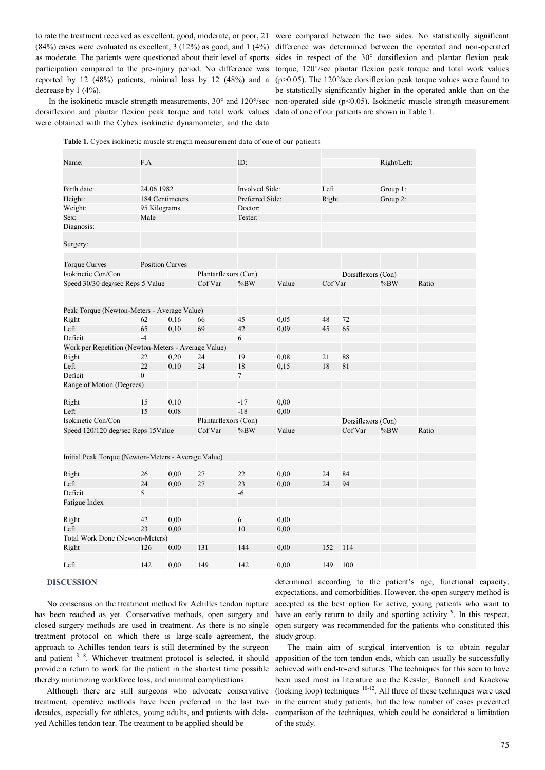participation compared to the pre-injury period. No difference was reported by 12 (48%) patients, minimal loss by 12 (48%) and a decrease by 1 (4%).

dorsiflexion and plantar flexion peak torque and total work values were obtained with the Cybex isokinetic dynamometer, and the data

to rate the treatment received as excellent, good, moderate, or poor, 21 were compared between the two sides. No statistically significant (84%) cases were evaluated as excellent, 3 (12%) as good, and 1 (4%) difference was determined between the operated and non-operated as moderate. The patients were questioned about their level of sports sides in respect of the 30° dorsiflexion and plantar flexion peak In the isokinetic muscle strength measurements, 30° and 120°/sec non-operated side (p<0.05). Isokinetic muscle strength measurement torque, 120°/sec plantar flexion peak torque and total work values ( $p > 0.05$ ). The 120 $\degree$ /sec dorsiflexion peak torque values were found to be statstically significantly higher in the operated ankle than on the data of one of our patients are shown in Table 1.

|  |  | <b>Table 1.</b> Cybex isokinetic muscle strength measurement data of one of our patients |  |  |  |
|--|--|------------------------------------------------------------------------------------------|--|--|--|
|--|--|------------------------------------------------------------------------------------------|--|--|--|

| Name:                                               | F.A                    |      | ID:                   |                 |       |         | Right/Left:        |          |       |
|-----------------------------------------------------|------------------------|------|-----------------------|-----------------|-------|---------|--------------------|----------|-------|
|                                                     |                        |      |                       |                 |       |         |                    |          |       |
| Birth date:                                         | 24.06.1982             |      | <b>Involved Side:</b> |                 | Left  |         | Group 1:           |          |       |
| Height:                                             | 184 Centimeters        |      |                       | Preferred Side: |       | Right   |                    | Group 2: |       |
| Weight:                                             | 95 Kilograms           |      |                       | Doctor:         |       |         |                    |          |       |
| Sex:                                                | Male                   |      |                       | Tester:         |       |         |                    |          |       |
| Diagnosis:                                          |                        |      |                       |                 |       |         |                    |          |       |
| Surgery:                                            |                        |      |                       |                 |       |         |                    |          |       |
| <b>Torque Curves</b>                                | <b>Position Curves</b> |      |                       |                 |       |         |                    |          |       |
| Isokinetic Con/Con                                  |                        |      | Plantarflexors (Con)  |                 |       |         | Dorsiflexors (Con) |          |       |
| Speed 30/30 deg/sec Reps 5 Value                    |                        |      | Cof Var               | %BW             | Value | Cof Var |                    | $\%BW$   | Ratio |
|                                                     |                        |      |                       |                 |       |         |                    |          |       |
|                                                     |                        |      |                       |                 |       |         |                    |          |       |
| Peak Torque (Newton-Meters - Average Value)         |                        |      |                       |                 |       |         |                    |          |       |
| Right                                               | 62                     | 0,16 | 66                    | 45              | 0.05  | 48      | 72                 |          |       |
| Left                                                | 65                     | 0,10 | 69                    | 42              | 0,09  | 45      | 65                 |          |       |
| Deficit                                             | $-4$                   |      |                       | 6               |       |         |                    |          |       |
| Work per Repetition (Newton-Meters - Average Value) |                        |      |                       |                 |       |         |                    |          |       |
| Right                                               | 22                     | 0,20 | 24                    | 19              | 0.08  | 21      | 88                 |          |       |
| Left                                                | 22                     | 0,10 | 24                    | 18              | 0,15  | 18      | 81                 |          |       |
| Deficit                                             | $\theta$               |      |                       | $\overline{7}$  |       |         |                    |          |       |
| Range of Motion (Degrees)                           |                        |      |                       |                 |       |         |                    |          |       |
| Right                                               | 15                     | 0,10 |                       | -17             | 0.00  |         |                    |          |       |
| Left                                                | 15                     | 0,08 |                       | $-18$           | 0,00  |         |                    |          |       |
| Isokinetic Con/Con                                  |                        |      | Plantarflexors (Con)  |                 |       |         | Dorsiflexors (Con) |          |       |
| Speed 120/120 deg/sec Reps 15Value                  |                        |      | Cof Var               | $\%$ BW         | Value |         | Cof Var            | $\%BW$   | Ratio |
|                                                     |                        |      |                       |                 |       |         |                    |          |       |
| Initial Peak Torque (Newton-Meters - Average Value) |                        |      |                       |                 |       |         |                    |          |       |
|                                                     |                        |      |                       |                 |       |         |                    |          |       |
| Right                                               | 26                     | 0,00 | 27                    | 22              | 0,00  | 24      | 84                 |          |       |
| Left                                                | 24                     | 0,00 | 27                    | 23              | 0,00  | 24      | 94                 |          |       |
| Deficit                                             | 5                      |      |                       | -6              |       |         |                    |          |       |
| Fatigue Index                                       |                        |      |                       |                 |       |         |                    |          |       |
| Right                                               | 42                     | 0,00 |                       | 6               | 0,00  |         |                    |          |       |
| Left                                                | 23                     | 0,00 |                       | 10              | 0,00  |         |                    |          |       |
| Total Work Done (Newton-Meters)                     |                        |      |                       |                 |       |         |                    |          |       |
| Right                                               | 126                    | 0,00 | 131                   | 144             | 0,00  | 152     | 114                |          |       |
|                                                     |                        |      |                       |                 |       |         |                    |          |       |
| Left                                                | 142                    | 0,00 | 149                   | 142             | 0,00  | 149     | 100                |          |       |

#### **DISCUSSION**

No consensus on the treatment method for Achilles tendon rupture has been reached as yet. Conservative methods, open surgery and closed surgery methods are used in treatment. As there is no single treatment protocol on which there is large-scale agreement, the approach to Achilles tendon tears is still determined by the surgeon and patient  $3, 8$ . Whichever treatment protocol is selected, it should provide a return to work for the patient in the shortest time possible thereby minimizing workforce loss, and minimal complications.

Although there are still surgeons who advocate conservative treatment, operative methods have been preferred in the last two decades, especially for athletes, young adults, and patients with delayed Achilles tendon tear. The treatment to be applied should be

determined according to the patient's age, functional capacity, expectations, and comorbidities. However, the open surgery method is accepted as the best option for active, young patients who want to have an early return to daily and sporting activity  $9$ . In this respect, open surgery was recommended for the patients who constituted this study group.

The main aim of surgical intervention is to obtain regular apposition of the torn tendon ends, which can usually be successfully achieved with end-to-end sutures. The techniques for this seen to have been used most in literature are the Kessler, Bunnell and Krackow (locking loop) techniques  $10^{-12}$ . All three of these techniques were used in the current study patients, but the low number of cases prevented comparison of the techniques, which could be considered a limitation of the study.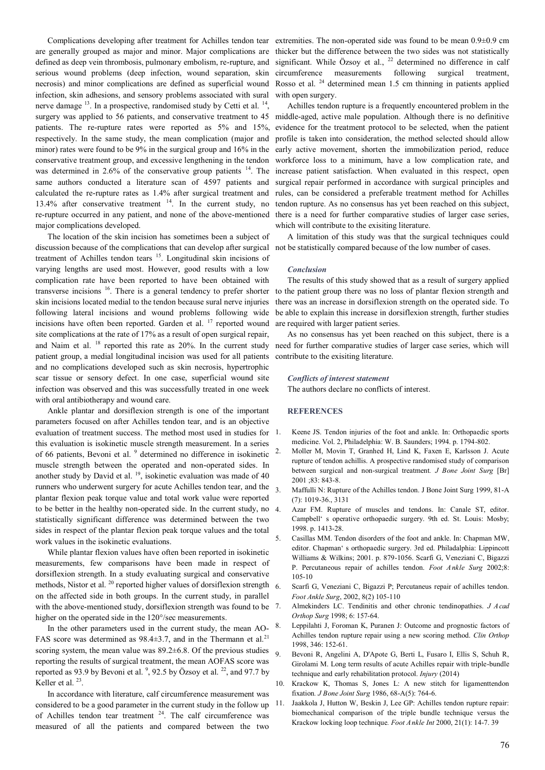Complications developing after treatment for Achilles tendon tear are generally grouped as major and minor. Major complications are defined as deep vein thrombosis, pulmonary embolism, re-rupture, and serious wound problems (deep infection, wound separation, skin necrosis) and minor complications are defined as superficial wound infection, skin adhesions, and sensory problems associated with sural nerve damage  $^{13}$ . In a prospective, randomised study by Cetti et al.  $^{14}$ , surgery was applied to 56 patients, and conservative treatment to 45 patients. The re-rupture rates were reported as 5% and 15%, respectively. In the same study, the mean complication (major and minor) rates were found to be 9% in the surgical group and 16% in the conservative treatment group, and excessive lengthening in the tendon was determined in  $2.6\%$  of the conservative group patients  $14$ . The same authors conducted a literature scan of 4597 patients and calculated the re-rupture rates as 1.4% after surgical treatment and 13.4% after conservative treatment <sup>14</sup>. In the current study, no re-rupture occurred in any patient, and none of the above-mentioned major complications developed.

The location of the skin incision has sometimes been a subject of discussion because of the complications that can develop after surgical treatment of Achilles tendon tears <sup>15</sup>. Longitudinal skin incisions of varying lengths are used most. However, good results with a low complication rate have been reported to have been obtained with transverse incisions <sup>16</sup>. There is a general tendency to prefer shorter skin incisions located medial to the tendon because sural nerve injuries following lateral incisions and wound problems following wide incisions have often been reported. Garden et al.  $17$  reported wound site complications at the rate of 17% as a result of open surgical repair, and Naim et al. <sup>18</sup> reported this rate as 20%. In the current study patient group, a medial longitudinal incision was used for all patients and no complications developed such as skin necrosis, hypertrophic scar tissue or sensory defect. In one case, superficial wound site infection was observed and this was successfully treated in one week with oral antibiotherapy and wound care.

Ankle plantar and dorsiflexion strength is one of the important parameters focused on after Achilles tendon tear, and is an objective evaluation of treatment success. The method most used in studies for 1. this evaluation is isokinetic muscle strength measurement. In a series of 66 patients, Bevoni et al. <sup>9</sup> determined no difference in isokinetic muscle strength between the operated and non-operated sides. In another study by David et al.  $^{19}$ , isokinetic evaluation was made of 40 runners who underwent surgery for acute Achilles tendon tear, and the plantar flexion peak torque value and total work value were reported to be better in the healthy non-operated side. In the current study, no statistically significant difference was determined between the two sides in respect of the plantar flexion peak torque values and the total work values in the isokinetic evaluations.

While plantar flexion values have often been reported in isokinetic measurements, few comparisons have been made in respect of dorsiflexion strength. In a study evaluating surgical and conservative methods, Nistor et al.<sup>20</sup> reported higher values of dorsiflexion strength on the affected side in both groups. In the current study, in parallel with the above-mentioned study, dorsiflexion strength was found to be higher on the operated side in the 120°/sec measurements.

In the other parameters used in the current study, the mean AO-FAS score was determined as  $98.4 \pm 3.7$ , and in the Thermann et al.<sup>21</sup> scoring system, the mean value was  $89.2\pm6.8$ . Of the previous studies  $\overline{9}$ reporting the results of surgical treatment, the mean AOFAS score was reported as 93.9 by Bevoni et al.  $\degree$ , 92.5 by Özsoy et al.  $\degree$ <sup>2</sup>, and 97.7 by Keller et al.  $23$ .

In accordance with literature, calf circumference measurement was considered to be a good parameter in the current study in the follow up of Achilles tendon tear treatment  $24$ . The calf circumference was measured of all the patients and compared between the two

extremities. The non-operated side was found to be mean 0.9±0.9 cm thicker but the difference between the two sides was not statistically significant. While Özsoy et al., <sup>22</sup> determined no difference in calf circumference measurements following surgical treatment, Rosso et al. <sup>24</sup> determined mean 1.5 cm thinning in patients applied with open surgery.

Achilles tendon rupture is a frequently encountered problem in the middle-aged, active male population. Although there is no definitive evidence for the treatment protocol to be selected, when the patient profile is taken into consideration, the method selected should allow early active movement, shorten the immobilization period, reduce workforce loss to a minimum, have a low complication rate, and increase patient satisfaction. When evaluated in this respect, open surgical repair performed in accordance with surgical principles and rules, can be considered a preferable treatment method for Achilles tendon rupture. As no consensus has yet been reached on this subject, there is a need for further comparative studies of larger case series, which will contribute to the exisiting literature.

A limitation of this study was that the surgical techniques could not be statistically compared because of the low number of cases.

#### *Conclusion*

The results of this study showed that as a result of surgery applied to the patient group there was no loss of plantar flexion strength and there was an increase in dorsiflexion strength on the operated side. To be able to explain this increase in dorsiflexion strength, further studies are required with larger patient series.

As no consensus has yet been reached on this subject, there is a need for further comparative studies of larger case series, which will contribute to the exisiting literature.

#### *Conflicts of interest statement*

The authors declare no conflicts of interest.

## **REFERENCES**

- Keene JS. Tendon injuries of the foot and ankle. In: Orthopaedic sports medicine. Vol. 2, Philadelphia: W. B. Saunders; 1994. p. 1794-802.
- 2. Moller M, Movin T, Granhed H, Lind K, Faxen E, Karlsson J. Acute rupture of tendon achillis. A prospective randomised study of comparison between surgical and non-surgical treatment*. J Bone Joint Surg* [Br] 2001 ;83: 843-8.
- 3. Maffulli N: Rupture of the Achilles tendon. J Bone Joint Surg 1999, 81-A (7): 1019-36., 3131
- 4. Azar FM. Rupture of muscles and tendons. In: Canale ST, editor. Campbell' s operative orthopaedic surgery. 9th ed. St. Louis: Mosby; 1998. p. 1413-28.
- 5. Casillas MM. Tendon disorders of the foot and ankle. In: Chapman MW, editor. Chapman' s orthopaedic surgery. 3rd ed. Philadalphia: Lippincott Williams & Wilkins; 2001. p. 879-1056. Scarfi G, Veneziani C, Bigazzi P. Percutaneous repair of achilles tendon. *Foot Ankle Surg* 2002;8: 105-10
- 6. Scarfi G, Veneziani C, Bigazzi P; Percutaneus repair of achilles tendon. *Foot Ankle Surg*, 2002, 8(2) 105-110
- 7. Almekinders LC. Tendinitis and other chronic tendinopathies. *J Acad Orthop Surg* 1998; 6: 157-64.
- Leppilahti J, Foroman K, Puranen J: Outcome and prognostic factors of Achilles tendon rupture repair using a new scoring method. *Clin Orthop* 1998, 346: 152-61.
- 9. Bevoni R, Angelini A, D'Apote G, Berti L, Fusaro I, Ellis S, Schuh R, Girolami M. Long term results of acute Achilles repair with triple-bundle technique and early rehabilitation protocol. *Injury* (2014)
- 10. Krackow K, Thomas S, Jones L: A new stitch for ligamenttendon fixation*. J Bone Joint Surg* 1986, 68-A(5): 764-6.
- 11. Jaakkola J, Hutton W, Beskin J, Lee GP: Achilles tendon rupture repair: biomechanical comparison of the triple bundle technique versus the Krackow locking loop technique*. Foot Ankle Int* 2000, 21(1): 14-7. 39